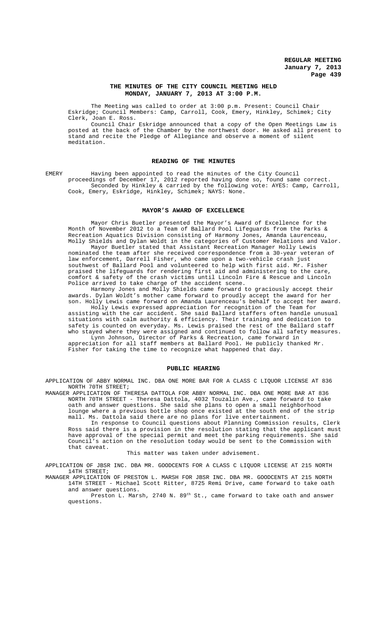#### **THE MINUTES OF THE CITY COUNCIL MEETING HELD MONDAY, JANUARY 7, 2013 AT 3:00 P.M.**

The Meeting was called to order at 3:00 p.m. Present: Council Chair Eskridge; Council Members: Camp, Carroll, Cook, Emery, Hinkley, Schimek; City Clerk, Joan E. Ross.

Council Chair Eskridge announced that a copy of the Open Meetings Law is posted at the back of the Chamber by the northwest door. He asked all present to stand and recite the Pledge of Allegiance and observe a moment of silent meditation.

#### **READING OF THE MINUTES**

EMERY Having been appointed to read the minutes of the City Council proceedings of December 17, 2012 reported having done so, found same correct. Seconded by Hinkley & carried by the following vote: AYES: Camp, Carroll, Cook, Emery, Eskridge, Hinkley, Schimek; NAYS: None.

#### **MAYOR'S AWARD OF EXCELLENCE**

Mayor Chris Buetler presented the Mayor's Award of Excellence for the Month of November 2012 to a Team of Ballard Pool Lifeguards from the Parks & Recreation Aquatics Division consisting of Harmony Jones, Amanda Laurenceau, Molly Shields and Dylan Woldt in the categories of Customer Relations and Valor.

Mayor Buetler stated that Assistant Recreation Manager Holly Lewis nominated the team after she received correspondence from a 30-year veteran of law enforcement, Darrell Fisher, who came upon a two-vehicle crash just southwest of Ballard Pool and volunteered to help with first aid. Mr. Fisher praised the lifeguards for rendering first aid and administering to the care, comfort & safety of the crash victims until Lincoln Fire & Rescue and Lincoln Police arrived to take charge of the accident scene.

Harmony Jones and Molly Shields came forward to graciously accept their awards. Dylan Woldt's mother came forward to proudly accept the award for her son. Holly Lewis came forward on Amanda Laurenceau's behalf to accept her award.

Holly Lewis expressed appreciation for recognition of the Team for assisting with the car accident. She said Ballard staffers often handle unusual situations with calm authority & efficiency. Their training and dedication to safety is counted on everyday. Ms. Lewis praised the rest of the Ballard staff who stayed where they were assigned and continued to follow all safety measures. Lynn Johnson, Director of Parks & Recreation, came forward in

appreciation for all staff members at Ballard Pool. He publicly thanked Mr. Fisher for taking the time to recognize what happened that day.

#### **PUBLIC HEARING**

APPLICATION OF ABBY NORMAL INC. DBA ONE MORE BAR FOR A CLASS C LIQUOR LICENSE AT 836 NORTH 70TH STREET;

MANAGER APPLICATION OF THERESA DATTOLA FOR ABBY NORMAL INC. DBA ONE MORE BAR AT 836 NORTH 70TH STREET - Theresa Dattola, 4032 Touzalin Ave., came forward to take oath and answer questions. She said she plans to open a small neighborhood lounge where a previous bottle shop once existed at the south end of the strip mall. Ms. Dattola said there are no plans for live entertainment.

In response to Council questions about Planning Commission results, Clerk Ross said there is a provision in the resolution stating that the applicant must have approval of the special permit and meet the parking requirements. She said Council's action on the resolution today would be sent to the Commission with that caveat.

This matter was taken under advisement.

APPLICATION OF JBSR INC. DBA MR. GOODCENTS FOR A CLASS C LIQUOR LICENSE AT 215 NORTH 14TH STREET;

MANAGER APPLICATION OF PRESTON L. MARSH FOR JBSR INC. DBA MR. GOODCENTS AT 215 NORTH 14TH STREET - Michael Scott Ritter, 8725 Remi Drive, came forward to take oath and answer questions.

Preston L. Marsh, 2740 N. 89th St., came forward to take oath and answer questions.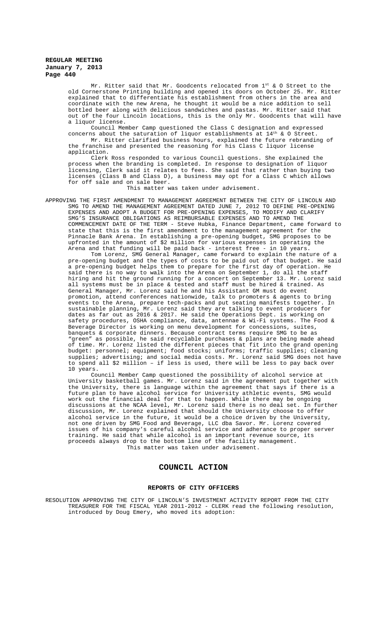Mr. Ritter said that Mr. Goodcents relocated from  $1^{st}$  & O Street to the old Cornerstone Printing building and opened its doors on October 25. Mr. Ritter explained that to differentiate his establishment from others in the area and coordinate with the new Arena, he thought it would be a nice addition to sell bottled beer along with delicious sandwiches and pastas. Mr. Ritter said that out of the four Lincoln locations, this is the only Mr. Goodcents that will have a liquor license.

Council Member Camp questioned the Class C designation and expressed concerns about the saturation of liquor establishments at  $14^{th}$  & O Street. Mr. Ritter clarified business hours, explained the future rebranding of the franchise and presented the reasoning for his Class C liquor license application.

Clerk Ross responded to various Council questions. She explained the process when the branding is completed. In response to designation of liquor licensing, Clerk said it relates to fees. She said that rather than buying two licenses (Class B and Class D), a business may opt for a Class C which allows for off sale and on sale beer.

This matter was taken under advisement.

APPROVING THE FIRST AMENDMENT TO MANAGEMENT AGREEMENT BETWEEN THE CITY OF LINCOLN AND SMG TO AMEND THE MANAGEMENT AGREEMENT DATED JUNE 7, 2012 TO DEFINE PRE-OPENING EXPENSES AND ADOPT A BUDGET FOR PRE-OPENING EXPENSES, TO MODIFY AND CLARIFY SMG'S INSURANCE OBLIGATIONS AS REIMBURSABLE EXPENSES AND TO AMEND THE COMMENCEMENT DATE OF THE TERM - Steve Hubka, Finance Department, came forward to state that this is the first amendment to the management agreement for the Pinnacle Bank Arena. In establishing a pre-opening budget, SMG proposes to be upfronted in the amount of \$2 million for various expenses in operating the Arena and that funding will be paid back - interest free - in 10 years.

Tom Lorenz, SMG General Manager, came forward to explain the nature of a pre-opening budget and the types of costs to be paid out of that budget. He said a pre-opening budget helps them to prepare for the first day of operation. He said there is no way to walk into the Arena on September 1, do all the staff hiring and hit the ground running for a concert on September 13. Mr. Lorenz said all systems must be in place & tested and staff must be hired & trained. As General Manager, Mr. Lorenz said he and his Assistant GM must do event promotion, attend conferences nationwide, talk to promoters & agents to bring events to the Arena, prepare tech-packs and put seating manifests together. In sustainable planning, Mr. Lorenz said they are talking to event producers for dates as far out as 2016 & 2017. He said the Operations Dept. is working on safety procedures, OSHA compliance, data, antennae & Wi-Fi systems. The Food & Beverage Director is working on menu development for concessions, suites, banquets & corporate dinners. Because contract terms require SMG to be as "green" as possible, he said recyclable purchases & plans are being made ahead of time. Mr. Lorenz listed the different pieces that fit into the grand opening budget: personnel; equipment; food stocks; uniforms; traffic supplies; cleaning supplies; advertising; and social media costs. Mr. Lorenz said SMG does not have to spend all \$2 million – if less is used, there will be less to pay back over 10 years.

Council Member Camp questioned the possibility of alcohol service at University basketball games. Mr. Lorenz said in the agreement put together with the University, there is language within the agreement that says if there is a future plan to have alcohol service for University athletic events, SMG would work out the financial deal for that to happen. While there may be ongoing discussions at the NCAA level, Mr. Lorenz said there is no deal set. In further discussion, Mr. Lorenz explained that should the University choose to offer alcohol service in the future, it would be a choice driven by the University, not one driven by SMG Food and Beverage, LLC dba Savor. Mr. Lorenz covered issues of his company's careful alcohol service and adherance to proper server training. He said that while alcohol is an important revenue source, its proceeds always drop to the bottom line of the facility management. This matter was taken under advisement.

# **COUNCIL ACTION**

#### **REPORTS OF CITY OFFICERS**

RESOLUTION APPROVING THE CITY OF LINCOLN'S INVESTMENT ACTIVITY REPORT FROM THE CITY TREASURER FOR THE FISCAL YEAR 2011-2012 - CLERK read the following resolution, introduced by Doug Emery, who moved its adoption: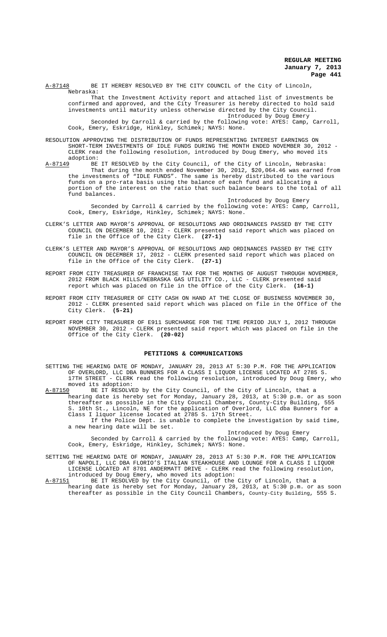A-87148 BE IT HEREBY RESOLVED BY THE CITY COUNCIL of the City of Lincoln, Nebraska:

That the Investment Activity report and attached list of investments be confirmed and approved, and the City Treasurer is hereby directed to hold said investments until maturity unless otherwise directed by the City Council. Introduced by Doug Emery

Seconded by Carroll & carried by the following vote: AYES: Camp, Carroll, Cook, Emery, Eskridge, Hinkley, Schimek; NAYS: None.

- RESOLUTION APPROVING THE DISTRIBUTION OF FUNDS REPRESENTING INTEREST EARNINGS ON SHORT-TERM INVESTMENTS OF IDLE FUNDS DURING THE MONTH ENDED NOVEMBER 30, 2012 - CLERK read the following resolution, introduced by Doug Emery, who moved its
- adoption:<br><u>A-87149</u> BE A-87149 BE IT RESOLVED by the City Council, of the City of Lincoln, Nebraska: That during the month ended November 30, 2012, \$20,064.46 was earned from the investments of "IDLE FUNDS". The same is hereby distributed to the various funds on a pro-rata basis using the balance of each fund and allocating a portion of the interest on the ratio that such balance bears to the total of all fund balances.

Introduced by Doug Emery Seconded by Carroll & carried by the following vote: AYES: Camp, Carroll, Cook, Emery, Eskridge, Hinkley, Schimek; NAYS: None.

- CLERK'S LETTER AND MAYOR'S APPROVAL OF RESOLUTIONS AND ORDINANCES PASSED BY THE CITY COUNCIL ON DECEMBER 10, 2012 - CLERK presented said report which was placed on file in the Office of the City Clerk. **(27-1)**
- CLERK'S LETTER AND MAYOR'S APPROVAL OF RESOLUTIONS AND ORDINANCES PASSED BY THE CITY COUNCIL ON DECEMBER 17, 2012 - CLERK presented said report which was placed on file in the Office of the City Clerk. **(27-1)**
- REPORT FROM CITY TREASURER OF FRANCHISE TAX FOR THE MONTHS OF AUGUST THROUGH NOVEMBER, 2012 FROM BLACK HILLS/NEBRASKA GAS UTILITY CO., LLC - CLERK presented said report which was placed on file in the Office of the City Clerk. **(16-1)**
- REPORT FROM CITY TREASURER OF CITY CASH ON HAND AT THE CLOSE OF BUSINESS NOVEMBER 30, 2012 - CLERK presented said report which was placed on file in the Office of the City Clerk. **(5-21)**
- REPORT FROM CITY TREASURER OF E911 SURCHARGE FOR THE TIME PERIOD JULY 1, 2012 THROUGH NOVEMBER 30, 2012 - CLERK presented said report which was placed on file in the Office of the City Clerk. **(20-02)**

#### **PETITIONS & COMMUNICATIONS**

SETTING THE HEARING DATE OF MONDAY, JANUARY 28, 2013 AT 5:30 P.M. FOR THE APPLICATION OF OVERLORD, LLC DBA BUNNERS FOR A CLASS I LIQUOR LICENSE LOCATED AT 2785 S. 17TH STREET - CLERK read the following resolution, introduced by Doug Emery, who moved its adoption:<br>A-87150 BE IT RESOLVE

BE IT RESOLVED by the City Council, of the City of Lincoln, that a hearing date is hereby set for Monday, January 28, 2013, at 5:30 p.m. or as soon thereafter as possible in the City Council Chambers, County-City Building, 555 S. 10th St., Lincoln, NE for the application of Overlord, LLC dba Bunners for a Class I liquor license located at 2785 S. 17th Street.

If the Police Dept. is unable to complete the investigation by said time, a new hearing date will be set.

## Introduced by Doug Emery

Seconded by Carroll & carried by the following vote: AYES: Camp, Carroll, Cook, Emery, Eskridge, Hinkley, Schimek; NAYS: None.

- SETTING THE HEARING DATE OF MONDAY, JANUARY 28, 2013 AT 5:30 P.M. FOR THE APPLICATION OF NAPOLI, LLC DBA FLORIO'S ITALIAN STEAKHOUSE AND LOUNGE FOR A CLASS I LIQUOR LICENSE LOCATED AT 8701 ANDERMATT DRIVE - CLERK read the following resolution, introduced by Doug Emery, who moved its adoption:<br>A-87151 BE IT RESOLVED by the City Council, of the
- A-87151 BE IT RESOLVED by the City Council, of the City of Lincoln, that a hearing date is hereby set for Monday, January 28, 2013, at 5:30 p.m. or as soon thereafter as possible in the City Council Chambers, County-City Building, 555 S.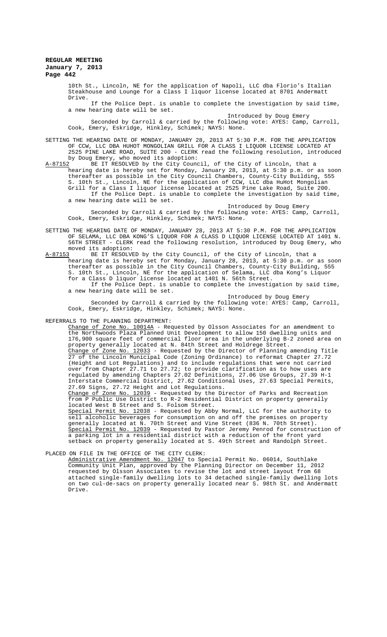10th St., Lincoln, NE for the application of Napoli, LLC dba Florio's Italian Steakhouse and Lounge for a Class I liquor license located at 8701 Andermatt Drive.

If the Police Dept. is unable to complete the investigation by said time, a new hearing date will be set.

Introduced by Doug Emery Seconded by Carroll & carried by the following vote: AYES: Camp, Carroll, Cook, Emery, Eskridge, Hinkley, Schimek; NAYS: None.

SETTING THE HEARING DATE OF MONDAY, JANUARY 28, 2013 AT 5:30 P.M. FOR THE APPLICATION OF CCW, LLC DBA HUHOT MONGOLIAN GRILL FOR A CLASS I LIQUOR LICENSE LOCATED AT 2525 PINE LAKE ROAD, SUITE 200 - CLERK read the following resolution, introduced

by Doug Emery, who moved its adoption:<br>2 BE IT RESOLVED by the City Council, of the City of Lincoln, that a A-87152 BE IT RESOLVED by the City Council, of the City of Lincoln, that a hearing date is hereby set for Monday, January 28, 2013, at 5:30 p.m. or as soon thereafter as possible in the City Council Chambers, County-City Building, 555 S. 10th St., Lincoln, NE for the application of CCW, LLC dba HuHot Mongolian Grill for a Class I liquor license located at 2525 Pine Lake Road, Suite 200. If the Police Dept. is unable to complete the investigation by said time, a new hearing date will be set.

Introduced by Doug Emery Seconded by Carroll & carried by the following vote: AYES: Camp, Carroll, Cook, Emery, Eskridge, Hinkley, Schimek; NAYS: None.

SETTING THE HEARING DATE OF MONDAY, JANUARY 28, 2013 AT 5:30 P.M. FOR THE APPLICATION OF SELAMA, LLC DBA KONG'S LIQUOR FOR A CLASS D LIQUOR LICENSE LOCATED AT 1401 N. 56TH STREET - CLERK read the following resolution, introduced by Doug Emery, who moved its adoption:<br>A-87153 BE IT RESOLV

BE IT RESOLVED by the City Council, of the City of Lincoln, that a hearing date is hereby set for Monday, January 28, 2013, at 5:30 p.m. or as soon thereafter as possible in the City Council Chambers, County-City Building, 555 S. 10th St., Lincoln, NE for the application of Selama, LLC dba Kong's Liquor for a Class D liquor license located at 1401 N. 56th Street. If the Police Dept. is unable to complete the investigation by said time,

a new hearing date will be set.

Introduced by Doug Emery Seconded by Carroll & carried by the following vote: AYES: Camp, Carroll, Cook, Emery, Eskridge, Hinkley, Schimek; NAYS: None.

REFERRALS TO THE PLANNING DEPARTMENT:

Change of Zone No. 10014A - Requested by Olsson Associates for an amendment to the Northwoods Plaza Planned Unit Development to allow 150 dwelling units and 176,900 square feet of commercial floor area in the underlying B-2 zoned area on property generally located at N. 84th Street and Holdrege Street. Change of Zone No. 12033 - Requested by the Director of Planning amending Title 27 of the Lincoln Municipal Code (Zoning Ordinance) to reformat Chapter 27.72 (Height and Lot Regulations) and to include regulations that were not carried over from Chapter 27.71 to 27.72; to provide clarification as to how uses are regulated by amending Chapters 27.02 Definitions, 27.06 Use Groups, 27.39 H-1 Interstate Commercial District, 27.62 Conditional Uses, 27.63 Special Permits, 27.69 Signs, 27.72 Height and Lot Regulations.

Change of Zone No. 12039 - Requested by the Director of Parks and Recreation <u>Change of Zone No. 12039</u> - Requested by the Director of Parks and Recreation from P Public Use District to R-2 Residential District on property generally located West B Street and S. Folsom Street.

Special Permit No. 12038 - Requested by Abby Normal, LLC for the authority to sell alcoholic beverages for consumption on and off the premises on property generally located at N. 70th Street and Vine Street (836 N. 70th Street). Special Permit No. 12039 - Requested by Pastor Jeremy Penrod for construction of a parking lot in a residential district with a reduction of the front yard setback on property generally located at S. 49th Street and Randolph Street.

## PLACED ON FILE IN THE OFFICE OF THE CITY CLERK:

Administrative Amendment No. 12047 to Special Permit No. 06014, Southlake Community Unit Plan, approved by the Planning Director on December 11, 2012 requested by Olsson Associates to revise the lot and street layout from 68 attached single-family dwelling lots to 34 detached single-family dwelling lots on two cul-de-sacs on property generally located near S. 98th St. and Andermatt Drive.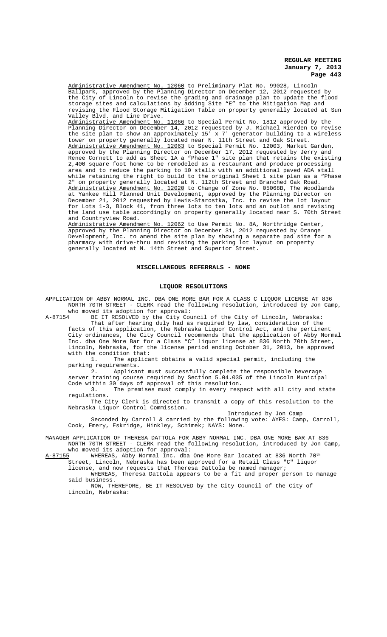Administrative Amendment No. 12060 to Preliminary Plat No. 99028, Lincoln Ballpark, approved by the Planning Director on December 12, 2012 requested by the City of Lincoln to revise the grading and drainage plan to update the flood storage sites and calculations by adding Site "E" to the Mitigation Map and revising the Flood Storage Mitigation Table on property generally located at Sun Valley Blvd. and Line Drive. Administrative Amendment No. 11066 to Special Permit No. 1812 approved by the Planning Director on December 14, 2012 requested by J. Michael Rierden to revise the site plan to show an approximately 15' x 7' generator building to a wireless tower on property generally located near N. 11th Street and Oak Street. Administrative Amendment No. 12063 to Special Permit No. 12003, Market Garden, approved by the Planning Director on December 17, 2012 requested by Jerry and Renee Cornett to add as Sheet 1A a "Phase 1" site plan that retains the existing 2,400 square foot home to be remodeled as a restaurant and produce processing area and to reduce the parking to 10 stalls with an additional paved ADA stall while retaining the right to build to the original Sheet 1 site plan as a "Phase 2" on property generally located at N. 112th Street and Branched Oak Road. Administrative Amendment No. 12020 to Change of Zone No. 05068B, The Woodlands at Yankee Hill Planned Unit Development, approved by the Planning Director on December 21, 2012 requested by Lewis-Starostka, Inc. to revise the lot layout for Lots 1-3, Block 41, from three lots to ten lots and an outlot and revising the land use table accordingly on property generally located near S. 70th Street and Countryview Road.

Administrative Amendment No. 12062 to Use Permit No. 8A, Northridge Center, approved by the Planning Director on December 31, 2012 requested by Orange Development, Inc. to amend the site plan by showing a separate pad site for a pharmacy with drive-thru and revising the parking lot layout on property generally located at N. 14th Street and Superior Street.

#### **MISCELLANEOUS REFERRALS - NONE**

#### **LIQUOR RESOLUTIONS**

APPLICATION OF ABBY NORMAL INC. DBA ONE MORE BAR FOR A CLASS C LIQUOR LICENSE AT 836 NORTH 70TH STREET - CLERK read the following resolution, introduced by Jon Camp, who moved its adoption for approval:

A-87154 BE IT RESOLVED by the City Council of the City of Lincoln, Nebraska: That after hearing duly had as required by law, consideration of the

facts of this application, the Nebraska Liquor Control Act, and the pertinent City ordinances, the City Council recommends that the application of Abby Normal Inc. dba One More Bar for a Class "C" liquor license at 836 North 70th Street, Lincoln, Nebraska, for the license period ending October 31, 2013, be approved with the condition that:

1. The applicant obtains a valid special permit, including the parking requirements.

2. Applicant must successfully complete the responsible beverage server training course required by Section 5.04.035 of the Lincoln Municipal Code within 30 days of approval of this resolution.

3. The premises must comply in every respect with all city and state regulations.

The City Clerk is directed to transmit a copy of this resolution to the Nebraska Liquor Control Commission.

Introduced by Jon Camp

Seconded by Carroll & carried by the following vote: AYES: Camp, Carroll, Cook, Emery, Eskridge, Hinkley, Schimek; NAYS: None.

MANAGER APPLICATION OF THERESA DATTOLA FOR ABBY NORMAL INC. DBA ONE MORE BAR AT 836 NORTH 70TH STREET - CLERK read the following resolution, introduced by Jon Camp,

who moved its adoption for approval:<br>A-87155 WHEREAS, Abby Normal Inc. dba WHEREAS, Abby Normal Inc. dba One More Bar located at 836 North 70<sup>th</sup> Street, Lincoln, Nebraska has been approved for a Retail Class "C" liquor

license, and now requests that Theresa Dattola be named manager;

WHEREAS, Theresa Dattola appears to be a fit and proper person to manage said business.

NOW, THEREFORE, BE IT RESOLVED by the City Council of the City of Lincoln, Nebraska: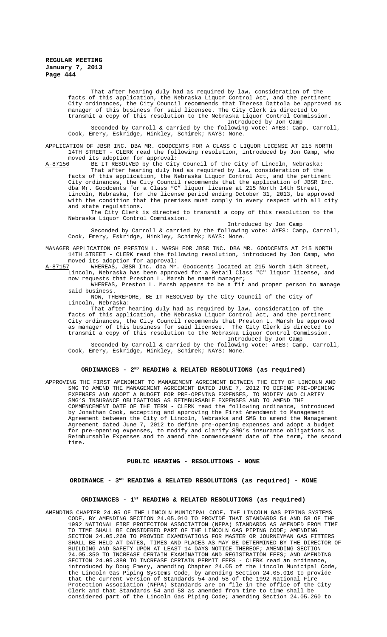That after hearing duly had as required by law, consideration of the facts of this application, the Nebraska Liquor Control Act, and the pertinent City ordinances, the City Council recommends that Theresa Dattola be approved as manager of this business for said licensee. The City Clerk is directed to transmit a copy of this resolution to the Nebraska Liquor Control Commission. Introduced by Jon Camp

Seconded by Carroll & carried by the following vote: AYES: Camp, Carroll, Cook, Emery, Eskridge, Hinkley, Schimek; NAYS: None.

APPLICATION OF JBSR INC. DBA MR. GOODCENTS FOR A CLASS C LIQUOR LICENSE AT 215 NORTH 14TH STREET - CLERK read the following resolution, introduced by Jon Camp, who moved its adoption for approval:

A-87156 BE IT RESOLVED by the City Council of the City of Lincoln, Nebraska: That after hearing duly had as required by law, consideration of the facts of this application, the Nebraska Liquor Control Act, and the pertinent City ordinances, the City Council recommends that the application of JBSR Inc. dba Mr. Goodcents for a Class "C" liquor license at 215 North 14th Street, Lincoln, Nebraska, for the license period ending October 31, 2013, be approved with the condition that the premises must comply in every respect with all city and state regulations.

The City Clerk is directed to transmit a copy of this resolution to the Nebraska Liquor Control Commission.

Introduced by Jon Camp Seconded by Carroll & carried by the following vote: AYES: Camp, Carroll, Cook, Emery, Eskridge, Hinkley, Schimek; NAYS: None.

MANAGER APPLICATION OF PRESTON L. MARSH FOR JBSR INC. DBA MR. GOODCENTS AT 215 NORTH 14TH STREET - CLERK read the following resolution, introduced by Jon Camp, who moved its adoption for approval:

A-87157 MHEREAS, JBSR Inc. dba Mr. Goodcents located at 215 North 14th Street, Lincoln, Nebraska has been approved for a Retail Class "C" liquor license, and now requests that Preston L. Marsh be named manager;

WHEREAS, Preston L. Marsh appears to be a fit and proper person to manage said business.

NOW, THEREFORE, BE IT RESOLVED by the City Council of the City of Lincoln, Nebraska:

That after hearing duly had as required by law, consideration of the facts of this application, the Nebraska Liquor Control Act, and the pertinent City ordinances, the City Council recommends that Preston L. Marsh be approved as manager of this business for said licensee. The City Clerk is directed to transmit a copy of this resolution to the Nebraska Liquor Control Commission.

Introduced by Jon Camp

Seconded by Carroll & carried by the following vote: AYES: Camp, Carroll, Cook, Emery, Eskridge, Hinkley, Schimek; NAYS: None.

#### ORDINANCES - 2<sup>ND</sup> READING & RELATED RESOLUTIONS (as required)

APPROVING THE FIRST AMENDMENT TO MANAGEMENT AGREEMENT BETWEEN THE CITY OF LINCOLN AND SMG TO AMEND THE MANAGEMENT AGREEMENT DATED JUNE 7, 2012 TO DEFINE PRE-OPENING EXPENSES AND ADOPT A BUDGET FOR PRE-OPENING EXPENSES, TO MODIFY AND CLARIFY SMG'S INSURANCE OBLIGATIONS AS REIMBURSABLE EXPENSES AND TO AMEND THE COMMENCEMENT DATE OF THE TERM - CLERK read the following ordinance, introduced by Jonathan Cook, accepting and approving the First Amendment to Management Agreement between the City of Lincoln, Nebraska and SMG to amend the Management Agreement dated June 7, 2012 to define pre-opening expenses and adopt a budget for pre-opening expenses, to modify and clarify SMG's insurance obligations as Reimbursable Expenses and to amend the commencement date of the term, the second time.

#### **PUBLIC HEARING - RESOLUTIONS - NONE**

# ORDINANCE - 3<sup>RD</sup> READING & RELATED RESOLUTIONS (as required) - NONE

# ORDINANCES - 1<sup>st</sup> READING & RELATED RESOLUTIONS (as required)

AMENDING CHAPTER 24.05 OF THE LINCOLN MUNICIPAL CODE, THE LINCOLN GAS PIPING SYSTEMS CODE, BY AMENDING SECTION 24.05.010 TO PROVIDE THAT STANDARDS 54 AND 58 OF THE 1992 NATIONAL FIRE PROTECTION ASSOCIATION (NFPA) STANDARDS AS AMENDED FROM TIME TO TIME SHALL BE CONSIDERED PART OF THE LINCOLN GAS PIPING CODE; AMENDING SECTION 24.05.260 TO PROVIDE EXAMINATIONS FOR MASTER OR JOURNEYMAN GAS FITTERS SHALL BE HELD AT DATES, TIMES AND PLACES AS MAY BE DETERMINED BY THE DIRECTOR OF BUILDING AND SAFETY UPON AT LEAST 14 DAYS NOTICE THEREOF; AMENDING SECTION 24.05.350 TO INCREASE CERTAIN EXAMINATION AND REGISTRATION FEES; AND AMENDING SECTION 24.05.380 TO INCREASE CERTAIN PERMIT FEES - CLERK read an ordinance, introduced by Doug Emery, amending Chapter 24.05 of the Lincoln Municipal Code, the Lincoln Gas Piping Systems Code, by amending Section 24.05.010 to provide that the current version of Standards 54 and 58 of the 1992 National Fire Protection Association (NFPA) Standards are on file in the office of the City Clerk and that Standards 54 and 58 as amended from time to time shall be considered part of the Lincoln Gas Piping Code; amending Section 24.05.260 to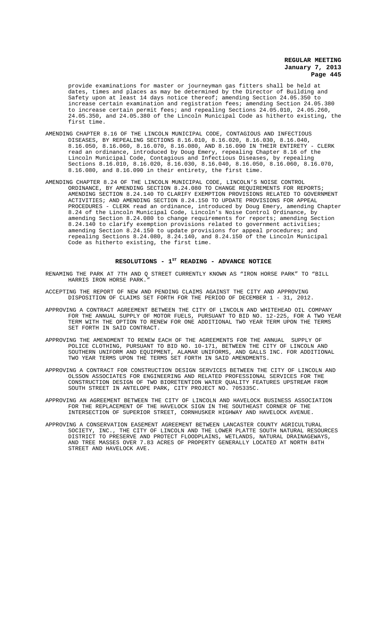provide examinations for master or journeyman gas fitters shall be held at dates, times and places as may be determined by the Director of Building and Safety upon at least 14 days notice thereof; amending Section 24.05.350 to increase certain examination and registration fees; amending Section 24.05.380 to increase certain permit fees; and repealing Sections 24.05.010, 24.05.260, 24.05.350, and 24.05.380 of the Lincoln Municipal Code as hitherto existing, the first time.

- AMENDING CHAPTER 8.16 OF THE LINCOLN MUNICIPAL CODE, CONTAGIOUS AND INFECTIOUS DISEASES, BY REPEALING SECTIONS 8.16.010, 8.16.020, 8.16.030, 8.16.040, 8.16.050, 8.16.060, 8.16.070, 8.16.080, AND 8.16.090 IN THEIR ENTIRETY - CLERK read an ordinance, introduced by Doug Emery, repealing Chapter 8.16 of the Lincoln Municipal Code, Contagious and Infectious Diseases, by repealing Sections 8.16.010, 8.16.020, 8.16.030, 8.16.040, 8.16.050, 8.16.060, 8.16.070, 8.16.080, and 8.16.090 in their entirety, the first time.
- AMENDING CHAPTER 8.24 OF THE LINCOLN MUNICIPAL CODE, LINCOLN'S NOISE CONTROL ORDINANCE, BY AMENDING SECTION 8.24.080 TO CHANGE REQUIREMENTS FOR REPORTS; AMENDING SECTION 8.24.140 TO CLARIFY EXEMPTION PROVISIONS RELATED TO GOVERNMENT ACTIVITIES; AND AMENDING SECTION 8.24.150 TO UPDATE PROVISIONS FOR APPEAL PROCEDURES - CLERK read an ordinance, introduced by Doug Emery, amending Chapter 8.24 of the Lincoln Municipal Code, Lincoln's Noise Control Ordinance, by amending Section 8.24.080 to change requirements for reports; amending Section 8.24.140 to clarify exemption provisions related to government activities; amending Section 8.24.150 to update provisions for appeal procedures; and repealing Sections 8.24.080, 8.24.140, and 8.24.150 of the Lincoln Municipal Code as hitherto existing, the first time.

# RESOLUTIONS - 1<sup>st</sup> READING - ADVANCE NOTICE

- RENAMING THE PARK AT 7TH AND Q STREET CURRENTLY KNOWN AS "IRON HORSE PARK" TO "BILL HARRIS IRON HORSE PARK.
- ACCEPTING THE REPORT OF NEW AND PENDING CLAIMS AGAINST THE CITY AND APPROVING DISPOSITION OF CLAIMS SET FORTH FOR THE PERIOD OF DECEMBER 1 - 31, 2012.
- APPROVING A CONTRACT AGREEMENT BETWEEN THE CITY OF LINCOLN AND WHITEHEAD OIL COMPANY FOR THE ANNUAL SUPPLY OF MOTOR FUELS, PURSUANT TO BID NO. 12-225, FOR A TWO YEAR TERM WITH THE OPTION TO RENEW FOR ONE ADDITIONAL TWO YEAR TERM UPON THE TERMS SET FORTH IN SAID CONTRACT.
- APPROVING THE AMENDMENT TO RENEW EACH OF THE AGREEMENTS FOR THE ANNUAL SUPPLY OF POLICE CLOTHING, PURSUANT TO BID NO. 10-171, BETWEEN THE CITY OF LINCOLN AND SOUTHERN UNIFORM AND EQUIPMENT, ALAMAR UNIFORMS, AND GALLS INC. FOR ADDITIONAL TWO YEAR TERMS UPON THE TERMS SET FORTH IN SAID AMENDMENTS.
- APPROVING A CONTRACT FOR CONSTRUCTION DESIGN SERVICES BETWEEN THE CITY OF LINCOLN AND OLSSON ASSOCIATES FOR ENGINEERING AND RELATED PROFESSIONAL SERVICES FOR THE CONSTRUCTION DESIGN OF TWO BIORETENTION WATER QUALITY FEATURES UPSTREAM FROM SOUTH STREET IN ANTELOPE PARK, CITY PROJECT NO. 705335C.
- APPROVING AN AGREEMENT BETWEEN THE CITY OF LINCOLN AND HAVELOCK BUSINESS ASSOCIATION FOR THE REPLACEMENT OF THE HAVELOCK SIGN IN THE SOUTHEAST CORNER OF THE INTERSECTION OF SUPERIOR STREET, CORNHUSKER HIGHWAY AND HAVELOCK AVENUE.
- APPROVING A CONSERVATION EASEMENT AGREEMENT BETWEEN LANCASTER COUNTY AGRICULTURAL SOCIETY, INC., THE CITY OF LINCOLN AND THE LOWER PLATTE SOUTH NATURAL RESOURCES DISTRICT TO PRESERVE AND PROTECT FLOODPLAINS, WETLANDS, NATURAL DRAINAGEWAYS, AND TREE MASSES OVER 7.83 ACRES OF PROPERTY GENERALLY LOCATED AT NORTH 84TH STREET AND HAVELOCK AVE.